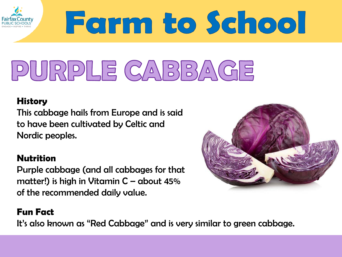

# Farm to School

## PURPLE CABBAGE

#### **History**

This cabbage hails from Europe and is said to have been cultivated by Celtic and Nordic peoples.

#### **Nutrition**

Purple cabbage (and all cabbages for that matter!) is high in Vitamin  $C -$  about 45% of the recommended daily value.

#### **Fun Fact**

It's also known as "Red Cabbage" and is very similar to green cabbage.

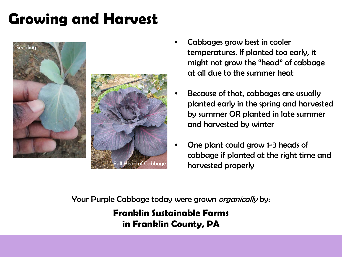## **Growing and Harvest**





- Cabbages grow best in cooler temperatures. If planted too early, it might not grow the "head" of cabbage at all due to the summer heat
- Because of that, cabbages are usually planted early in the spring and harvested by summer OR planted in late summer and harvested by winter
- One plant could grow 1-3 heads of cabbage if planted at the right time and harvested properly

Your Purple Cabbage today were grown *organically* by:

**Franklin Sustainable Farms in Franklin County, PA**